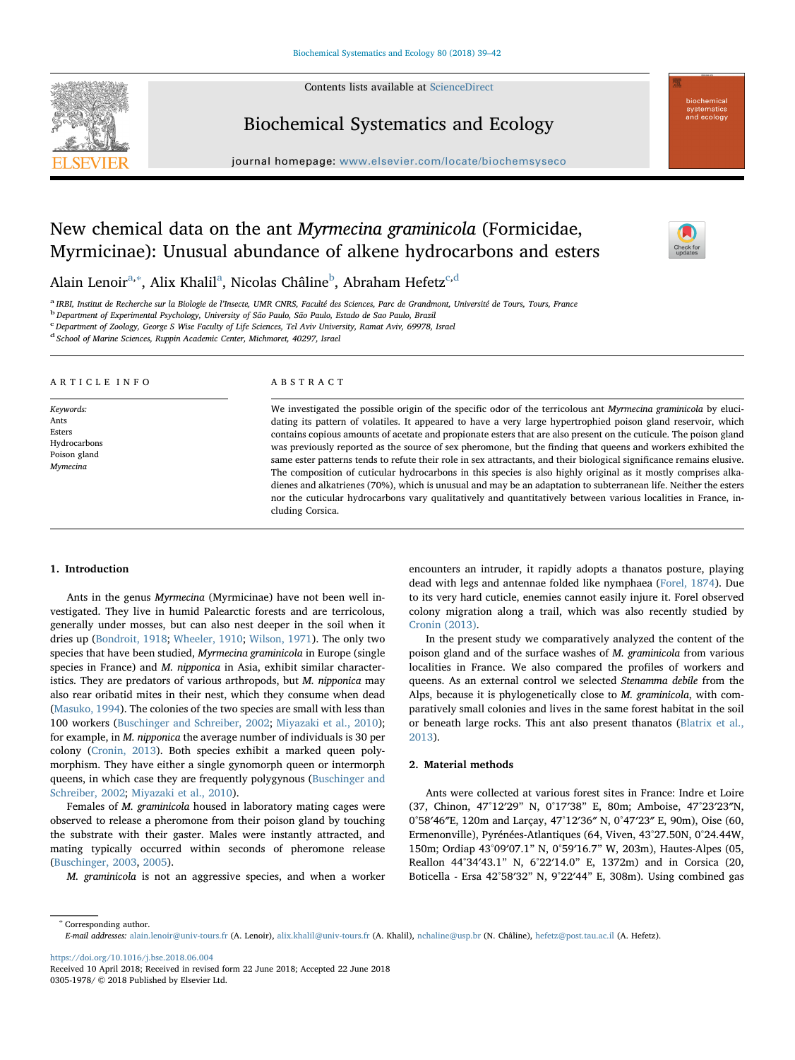Contents lists available at [ScienceDirect](http://www.sciencedirect.com/science/journal/03051978)



Biochemical Systematics and Ecology

 $j$ ornal homepage: www.elsevier.com/locate/biochems/locate/biochems/locate/biochems/locate/biochems/locate/biochems/



# New chemical data on the ant Myrmecina graminicola (Formicidae, Myrmicinae): Unusual abundance of alkene hydrocarbons and esters

Al[a](#page-0-0)in Lenoirª,\*, Alix Khalilª, Nicolas Châline<sup>[b](#page-0-2)</sup>, Abraham Hefetz<sup>[c,](#page-0-3)[d](#page-0-4)</sup>

<span id="page-0-0"></span><sup>a</sup> IRBI, Institut de Recherche sur la Biologie de l'Insecte, UMR CNRS, Faculté des Sciences, Parc de Grandmont, Université de Tours, Tours, France<br><sup>b</sup> Department of Experimental Psychology, University of São Paulo, São Pa

<span id="page-0-2"></span>

<span id="page-0-3"></span><sup>c</sup> Department of Zoology, George S Wise Faculty of Life Sciences, Tel Aviv University, Ramat Aviv, 69978, Israel

<span id="page-0-4"></span><sup>d</sup> School of Marine Sciences, Ruppin Academic Center, Michmoret, 40297, Israel

#### ARTICLE INFO

Keywords: Ants Esters Hydrocarbons Poison gland Mymecina

#### ABSTRACT

We investigated the possible origin of the specific odor of the terricolous ant Myrmecina graminicola by elucidating its pattern of volatiles. It appeared to have a very large hypertrophied poison gland reservoir, which contains copious amounts of acetate and propionate esters that are also present on the cuticule. The poison gland was previously reported as the source of sex pheromone, but the finding that queens and workers exhibited the same ester patterns tends to refute their role in sex attractants, and their biological significance remains elusive. The composition of cuticular hydrocarbons in this species is also highly original as it mostly comprises alkadienes and alkatrienes (70%), which is unusual and may be an adaptation to subterranean life. Neither the esters nor the cuticular hydrocarbons vary qualitatively and quantitatively between various localities in France, including Corsica.

## 1. Introduction

Ants in the genus Myrmecina (Myrmicinae) have not been well investigated. They live in humid Palearctic forests and are terricolous, generally under mosses, but can also nest deeper in the soil when it dries up ([Bondroit, 1918](#page-3-0); [Wheeler, 1910](#page-3-1); [Wilson, 1971\)](#page-3-2). The only two species that have been studied, Myrmecina graminicola in Europe (single species in France) and M. nipponica in Asia, exhibit similar characteristics. They are predators of various arthropods, but M. nipponica may also rear oribatid mites in their nest, which they consume when dead ([Masuko, 1994](#page-3-3)). The colonies of the two species are small with less than 100 workers ([Buschinger and Schreiber, 2002](#page-3-4); [Miyazaki et al., 2010](#page-3-5)); for example, in M. nipponica the average number of individuals is 30 per colony [\(Cronin, 2013](#page-3-6)). Both species exhibit a marked queen polymorphism. They have either a single gynomorph queen or intermorph queens, in which case they are frequently polygynous [\(Buschinger and](#page-3-4) [Schreiber, 2002;](#page-3-4) [Miyazaki et al., 2010](#page-3-5)).

Females of M. graminicola housed in laboratory mating cages were observed to release a pheromone from their poison gland by touching the substrate with their gaster. Males were instantly attracted, and mating typically occurred within seconds of pheromone release ([Buschinger, 2003](#page-3-7), [2005](#page-3-8)).

M. graminicola is not an aggressive species, and when a worker

encounters an intruder, it rapidly adopts a thanatos posture, playing dead with legs and antennae folded like nymphaea ([Forel, 1874\)](#page-3-9). Due to its very hard cuticle, enemies cannot easily injure it. Forel observed colony migration along a trail, which was also recently studied by [Cronin \(2013\)](#page-3-6).

In the present study we comparatively analyzed the content of the poison gland and of the surface washes of M. graminicola from various localities in France. We also compared the profiles of workers and queens. As an external control we selected Stenamma debile from the Alps, because it is phylogenetically close to M. graminicola, with comparatively small colonies and lives in the same forest habitat in the soil or beneath large rocks. This ant also present thanatos ([Blatrix et al.,](#page-3-10) [2013\)](#page-3-10).

# 2. Material methods

Ants were collected at various forest sites in France: Indre et Loire (37, Chinon, 47°12′29" N, 0°17′38" E, 80m; Amboise, 47°23′23″N, 0°58′46″E, 120m and Larçay, 47°12′36″ N, 0°47′23″ E, 90m), Oise (60, Ermenonville), Pyrénées-Atlantiques (64, Viven, 43°27.50N, 0°24.44W, 150m; Ordiap 43°09′07.1" N, 0°59′16.7" W, 203m), Hautes-Alpes (05, Reallon 44°34′43.1" N, 6°22′14.0" E, 1372m) and in Corsica (20, Boticella - Ersa 42°58′32" N, 9°22′44" E, 308m). Using combined gas

<span id="page-0-1"></span><sup>∗</sup> Corresponding author. E-mail addresses: [alain.lenoir@univ-tours.fr](mailto:alain.lenoir@univ-tours.fr) (A. Lenoir), [alix.khalil@univ-tours.fr](mailto:alix.khalil@univ-tours.fr) (A. Khalil), [nchaline@usp.br](mailto:nchaline@usp.br) (N. Châline), [hefetz@post.tau.ac.il](mailto:hefetz@post.tau.ac.il) (A. Hefetz).

<https://doi.org/10.1016/j.bse.2018.06.004>

Received 10 April 2018; Received in revised form 22 June 2018; Accepted 22 June 2018 0305-1978/ © 2018 Published by Elsevier Ltd.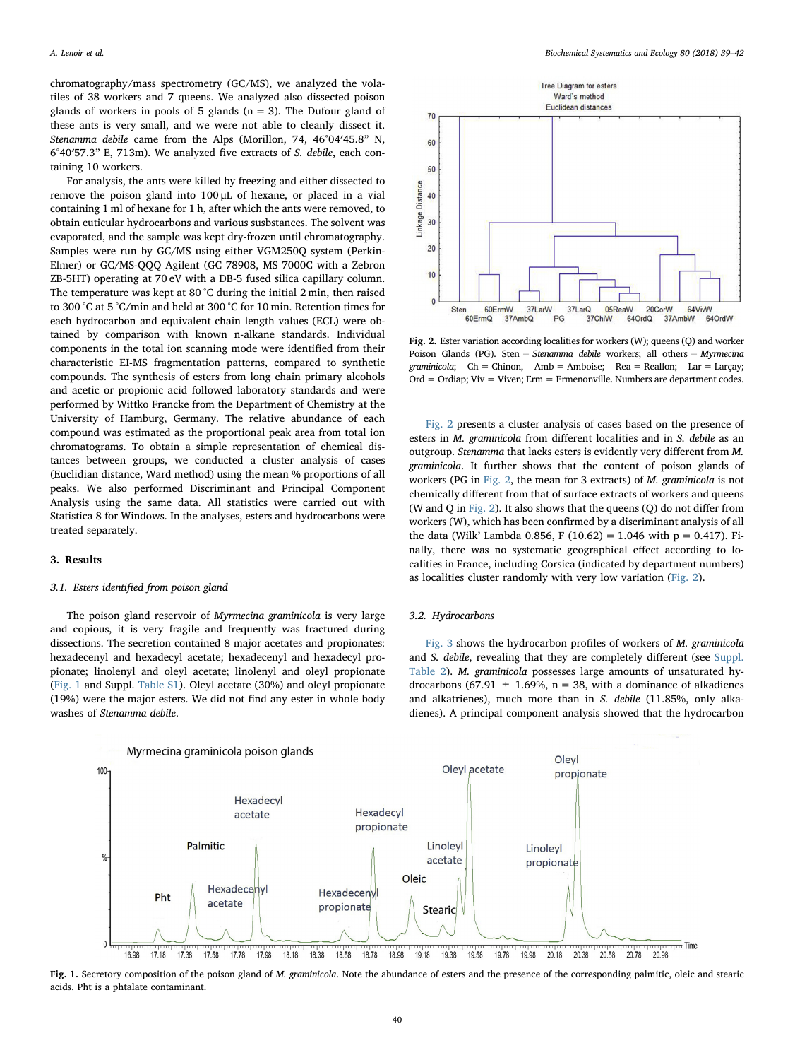chromatography/mass spectrometry (GC/MS), we analyzed the volatiles of 38 workers and 7 queens. We analyzed also dissected poison glands of workers in pools of 5 glands ( $n = 3$ ). The Dufour gland of these ants is very small, and we were not able to cleanly dissect it. Stenamma debile came from the Alps (Morillon, 74, 46°04′45.8" N, 6°40′57.3" E, 713m). We analyzed five extracts of S. debile, each containing 10 workers.

For analysis, the ants were killed by freezing and either dissected to remove the poison gland into 100 μL of hexane, or placed in a vial containing 1 ml of hexane for 1 h, after which the ants were removed, to obtain cuticular hydrocarbons and various susbstances. The solvent was evaporated, and the sample was kept dry-frozen until chromatography. Samples were run by GC/MS using either VGM250Q system (Perkin-Elmer) or GC/MS-QQQ Agilent (GC 78908, MS 7000C with a Zebron ZB-5HT) operating at 70 eV with a DB-5 fused silica capillary column. The temperature was kept at 80 °C during the initial 2 min, then raised to 300 °C at 5 °C/min and held at 300 °C for 10 min. Retention times for each hydrocarbon and equivalent chain length values (ECL) were obtained by comparison with known n-alkane standards. Individual components in the total ion scanning mode were identified from their characteristic EI-MS fragmentation patterns, compared to synthetic compounds. The synthesis of esters from long chain primary alcohols and acetic or propionic acid followed laboratory standards and were performed by Wittko Francke from the Department of Chemistry at the University of Hamburg, Germany. The relative abundance of each compound was estimated as the proportional peak area from total ion chromatograms. To obtain a simple representation of chemical distances between groups, we conducted a cluster analysis of cases (Euclidian distance, Ward method) using the mean % proportions of all peaks. We also performed Discriminant and Principal Component Analysis using the same data. All statistics were carried out with Statistica 8 for Windows. In the analyses, esters and hydrocarbons were treated separately.

#### 3. Results

## 3.1. Esters identified from poison gland

The poison gland reservoir of Myrmecina graminicola is very large and copious, it is very fragile and frequently was fractured during dissections. The secretion contained 8 major acetates and propionates: hexadecenyl and hexadecyl acetate; hexadecenyl and hexadecyl propionate; linolenyl and oleyl acetate; linolenyl and oleyl propionate ([Fig. 1](#page-1-0) and Suppl. Table S1). Oleyl acetate (30%) and oleyl propionate (19%) were the major esters. We did not find any ester in whole body washes of Stenamma debile.

<span id="page-1-1"></span>

Fig. 2. Ester variation according localities for workers (W); queens (Q) and worker Poison Glands (PG). Sten = Stenamma debile workers; all others = Myrmecina graminicola;  $Ch = Chinon$ ,  $Amb = Amboise$ ;  $Rea = Reallon$ ;  $Lar = Larçay$ ;  $Ord = Ordia$  : Viv = Viven: Erm = Ermenonville. Numbers are department codes.

[Fig. 2](#page-1-1) presents a cluster analysis of cases based on the presence of esters in M. graminicola from different localities and in S. debile as an outgroup. Stenamma that lacks esters is evidently very different from M. graminicola. It further shows that the content of poison glands of workers (PG in [Fig. 2,](#page-1-1) the mean for 3 extracts) of M. graminicola is not chemically different from that of surface extracts of workers and queens (W and Q in [Fig. 2\)](#page-1-1). It also shows that the queens (Q) do not differ from workers (W), which has been confirmed by a discriminant analysis of all the data (Wilk' Lambda 0.856, F (10.62) = 1.046 with  $p = 0.417$ ). Finally, there was no systematic geographical effect according to localities in France, including Corsica (indicated by department numbers) as localities cluster randomly with very low variation [\(Fig. 2](#page-1-1)).

## 3.2. Hydrocarbons

[Fig. 3](#page-2-0) shows the hydrocarbon profiles of workers of M. graminicola and S. debile, revealing that they are completely different (see Suppl. Table 2). M. graminicola possesses large amounts of unsaturated hydrocarbons (67.91  $\pm$  1.69%, n = 38, with a dominance of alkadienes and alkatrienes), much more than in S. debile (11.85%, only alkadienes). A principal component analysis showed that the hydrocarbon

<span id="page-1-0"></span>

Fig. 1. Secretory composition of the poison gland of M. graminicola. Note the abundance of esters and the presence of the corresponding palmitic, oleic and stearic acids. Pht is a phtalate contaminant.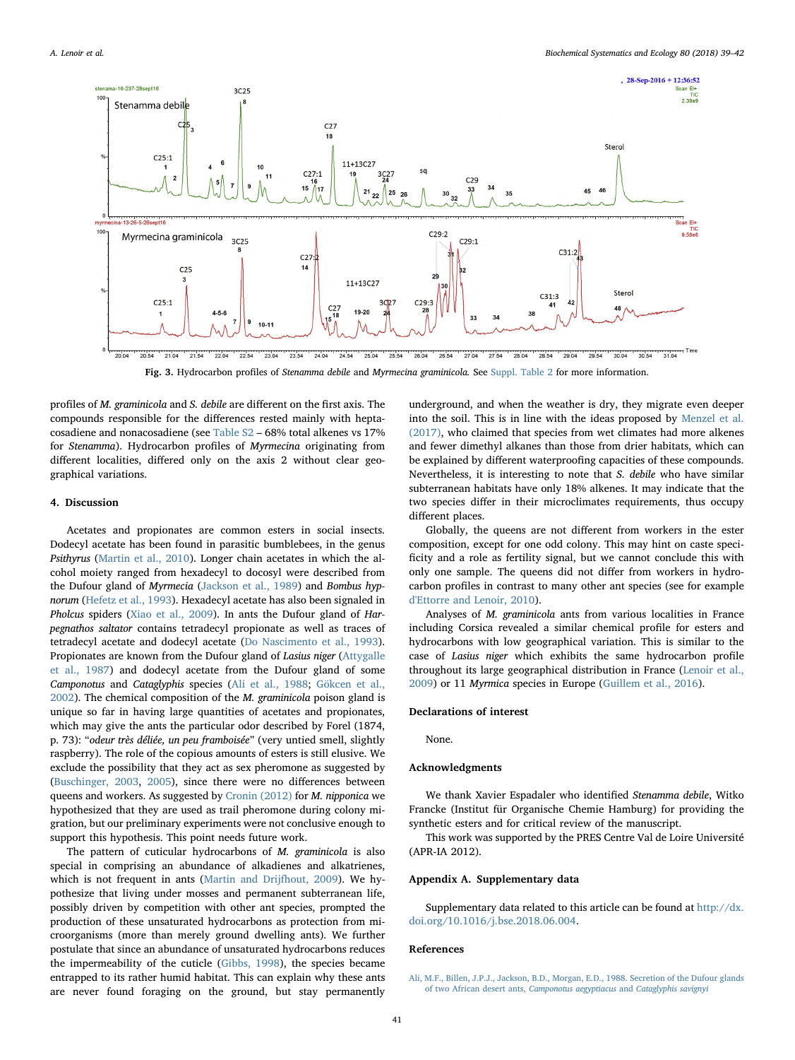<span id="page-2-0"></span>

Fig. 3. Hydrocarbon profiles of Stenamma debile and Myrmecina graminicola. See Suppl. Table 2 for more information.

profiles of M. graminicola and S. debile are different on the first axis. The compounds responsible for the differences rested mainly with heptacosadiene and nonacosadiene (see Table S2 – 68% total alkenes vs 17% for Stenamma). Hydrocarbon profiles of Myrmecina originating from different localities, differed only on the axis 2 without clear geographical variations.

# 4. Discussion

Acetates and propionates are common esters in social insects. Dodecyl acetate has been found in parasitic bumblebees, in the genus Psithyrus ([Martin et al., 2010](#page-3-11)). Longer chain acetates in which the alcohol moiety ranged from hexadecyl to docosyl were described from the Dufour gland of Myrmecia ([Jackson et al., 1989](#page-3-12)) and Bombus hypnorum [\(Hefetz et al., 1993\)](#page-3-13). Hexadecyl acetate has also been signaled in Pholcus spiders ([Xiao et al., 2009\)](#page-3-14). In ants the Dufour gland of Harpegnathos saltator contains tetradecyl propionate as well as traces of tetradecyl acetate and dodecyl acetate [\(Do Nascimento et al., 1993](#page-3-15)). Propionates are known from the Dufour gland of Lasius niger ([Attygalle](#page-3-16) [et al., 1987](#page-3-16)) and dodecyl acetate from the Dufour gland of some Camponotus and Cataglyphis species ([Ali et al., 1988;](#page-2-1) [Gökcen et al.,](#page-3-17) [2002\)](#page-3-17). The chemical composition of the M. graminicola poison gland is unique so far in having large quantities of acetates and propionates, which may give the ants the particular odor described by Forel (1874, p. 73): "odeur très déliée, un peu framboisée" (very untied smell, slightly raspberry). The role of the copious amounts of esters is still elusive. We exclude the possibility that they act as sex pheromone as suggested by ([Buschinger, 2003,](#page-3-7) [2005](#page-3-8)), since there were no differences between queens and workers. As suggested by [Cronin \(2012\)](#page-3-18) for M. nipponica we hypothesized that they are used as trail pheromone during colony migration, but our preliminary experiments were not conclusive enough to support this hypothesis. This point needs future work.

The pattern of cuticular hydrocarbons of M. graminicola is also special in comprising an abundance of alkadienes and alkatrienes, which is not frequent in ants ([Martin and Drijfhout, 2009](#page-3-19)). We hypothesize that living under mosses and permanent subterranean life, possibly driven by competition with other ant species, prompted the production of these unsaturated hydrocarbons as protection from microorganisms (more than merely ground dwelling ants). We further postulate that since an abundance of unsaturated hydrocarbons reduces the impermeability of the cuticle ([Gibbs, 1998\)](#page-3-20), the species became entrapped to its rather humid habitat. This can explain why these ants are never found foraging on the ground, but stay permanently underground, and when the weather is dry, they migrate even deeper into the soil. This is in line with the ideas proposed by [Menzel et al.](#page-3-21) [\(2017\),](#page-3-21) who claimed that species from wet climates had more alkenes and fewer dimethyl alkanes than those from drier habitats, which can be explained by different waterproofing capacities of these compounds. Nevertheless, it is interesting to note that S. debile who have similar subterranean habitats have only 18% alkenes. It may indicate that the two species differ in their microclimates requirements, thus occupy different places.

Globally, the queens are not different from workers in the ester composition, except for one odd colony. This may hint on caste specificity and a role as fertility signal, but we cannot conclude this with only one sample. The queens did not differ from workers in hydrocarbon profiles in contrast to many other ant species (see for example [d'Ettorre and Lenoir, 2010\)](#page-3-22).

Analyses of M. graminicola ants from various localities in France including Corsica revealed a similar chemical profile for esters and hydrocarbons with low geographical variation. This is similar to the case of Lasius niger which exhibits the same hydrocarbon profile throughout its large geographical distribution in France ([Lenoir et al.,](#page-3-23) [2009\)](#page-3-23) or 11 Myrmica species in Europe ([Guillem et al., 2016](#page-3-24)).

## Declarations of interest

None.

## Acknowledgments

We thank Xavier Espadaler who identified Stenamma debile, Witko Francke (Institut für Organische Chemie Hamburg) for providing the synthetic esters and for critical review of the manuscript.

This work was supported by the PRES Centre Val de Loire Université (APR-IA 2012).

# Appendix A. Supplementary data

Supplementary data related to this article can be found at [http://dx.](http://dx.doi.org/10.1016/j.bse.2018.06.004) [doi.org/10.1016/j.bse.2018.06.004.](http://dx.doi.org/10.1016/j.bse.2018.06.004)

#### References

<span id="page-2-1"></span>[Ali, M.F., Billen, J.P.J., Jackson, B.D., Morgan, E.D., 1988. Secretion of the Dufour glands](http://refhub.elsevier.com/S0305-1978(18)30157-1/sref1) [of two African desert ants,](http://refhub.elsevier.com/S0305-1978(18)30157-1/sref1) Camponotus aegyptiacus and Cataglyphis savignyi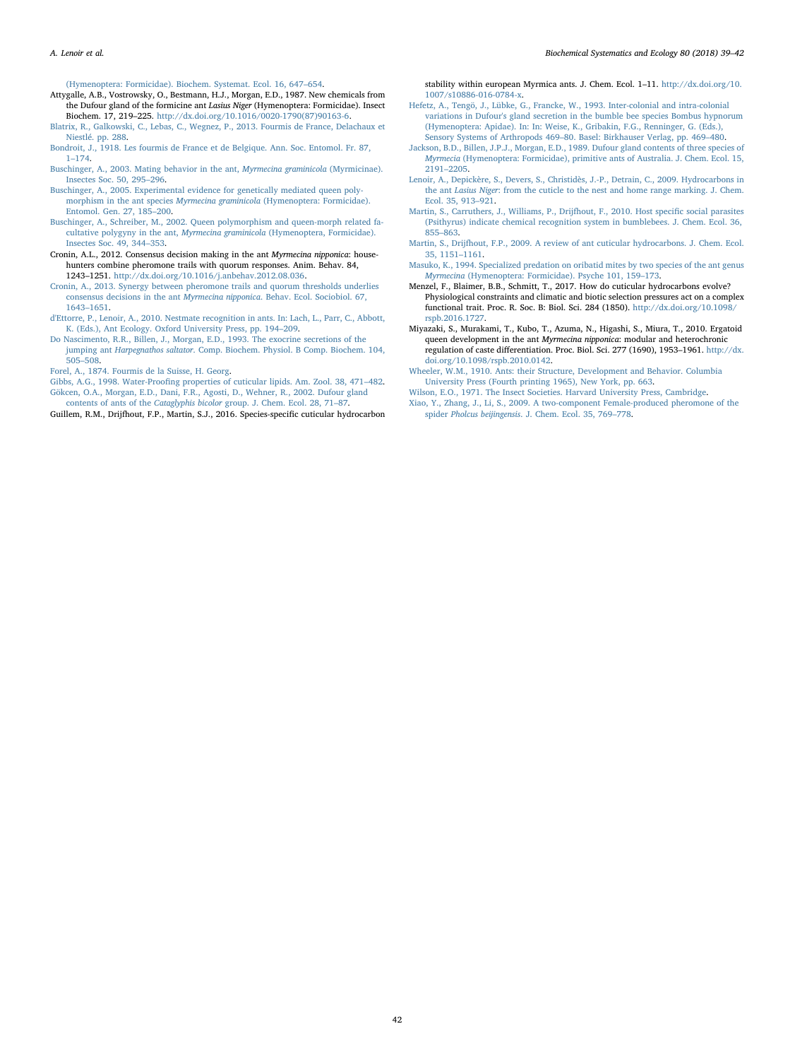[\(Hymenoptera: Formicidae\). Biochem. Systemat. Ecol. 16, 647](http://refhub.elsevier.com/S0305-1978(18)30157-1/sref1)–654.

- <span id="page-3-16"></span>Attygalle, A.B., Vostrowsky, O., Bestmann, H.J., Morgan, E.D., 1987. New chemicals from the Dufour gland of the formicine ant Lasius Niger (Hymenoptera: Formicidae). Insect Biochem. 17, 219–225. [http://dx.doi.org/10.1016/0020-1790\(87\)90163-6.](http://dx.doi.org/10.1016/0020-1790(87)90163-6)
- <span id="page-3-10"></span>[Blatrix, R., Galkowski, C., Lebas, C., Wegnez, P., 2013. Fourmis de France, Delachaux et](http://refhub.elsevier.com/S0305-1978(18)30157-1/sref3) [Niestlé. pp. 288.](http://refhub.elsevier.com/S0305-1978(18)30157-1/sref3)
- <span id="page-3-0"></span>[Bondroit, J., 1918. Les fourmis de France et de Belgique. Ann. Soc. Entomol. Fr. 87,](http://refhub.elsevier.com/S0305-1978(18)30157-1/sref4) 1–[174](http://refhub.elsevier.com/S0305-1978(18)30157-1/sref4).
- <span id="page-3-7"></span>[Buschinger, A., 2003. Mating behavior in the ant,](http://refhub.elsevier.com/S0305-1978(18)30157-1/sref5) Myrmecina graminicola (Myrmicinae). [Insectes Soc. 50, 295](http://refhub.elsevier.com/S0305-1978(18)30157-1/sref5)–296.
- <span id="page-3-8"></span>[Buschinger, A., 2005. Experimental evidence for genetically mediated queen poly](http://refhub.elsevier.com/S0305-1978(18)30157-1/sref6)morphism in the ant species Myrmecina graminicola [\(Hymenoptera: Formicidae\).](http://refhub.elsevier.com/S0305-1978(18)30157-1/sref6) [Entomol. Gen. 27, 185](http://refhub.elsevier.com/S0305-1978(18)30157-1/sref6)–200.
- <span id="page-3-4"></span>[Buschinger, A., Schreiber, M., 2002. Queen polymorphism and queen-morph related fa](http://refhub.elsevier.com/S0305-1978(18)30157-1/sref7)[cultative polygyny in the ant,](http://refhub.elsevier.com/S0305-1978(18)30157-1/sref7) Myrmecina graminicola (Hymenoptera, Formicidae). [Insectes Soc. 49, 344](http://refhub.elsevier.com/S0305-1978(18)30157-1/sref7)–353.
- <span id="page-3-18"></span>Cronin, A.L., 2012. Consensus decision making in the ant Myrmecina nipponica: househunters combine pheromone trails with quorum responses. Anim. Behav. 84, 1243–1251. <http://dx.doi.org/10.1016/j.anbehav.2012.08.036>.
- <span id="page-3-6"></span>[Cronin, A., 2013. Synergy between pheromone trails and quorum thresholds underlies](http://refhub.elsevier.com/S0305-1978(18)30157-1/sref9) [consensus decisions in the ant](http://refhub.elsevier.com/S0305-1978(18)30157-1/sref9) Myrmecina nipponica. Behav. Ecol. Sociobiol. 67, [1643](http://refhub.elsevier.com/S0305-1978(18)30157-1/sref9)–1651.
- <span id="page-3-22"></span>[d'Ettorre, P., Lenoir, A., 2010. Nestmate recognition in ants. In: Lach, L., Parr, C., Abbott,](http://refhub.elsevier.com/S0305-1978(18)30157-1/sref11) [K. \(Eds.\), Ant Ecology. Oxford University Press, pp. 194](http://refhub.elsevier.com/S0305-1978(18)30157-1/sref11)–209.
- <span id="page-3-15"></span>[Do Nascimento, R.R., Billen, J., Morgan, E.D., 1993. The exocrine secretions of the](http://refhub.elsevier.com/S0305-1978(18)30157-1/sref12) jumping ant Harpegnathos saltator[. Comp. Biochem. Physiol. B Comp. Biochem. 104,](http://refhub.elsevier.com/S0305-1978(18)30157-1/sref12)  $505 - 508$  $505 - 508$
- <span id="page-3-9"></span>[Forel, A., 1874. Fourmis de la Suisse, H. Georg.](http://refhub.elsevier.com/S0305-1978(18)30157-1/sref13)
- <span id="page-3-20"></span><span id="page-3-17"></span>Gibbs, A.G., 1998. Water-Proofi[ng properties of cuticular lipids. Am. Zool. 38, 471](http://refhub.elsevier.com/S0305-1978(18)30157-1/sref14)–482. [Gökcen, O.A., Morgan, E.D., Dani, F.R., Agosti, D., Wehner, R., 2002. Dufour gland](http://refhub.elsevier.com/S0305-1978(18)30157-1/sref15)
- contents of ants of the Cataglyphis bicolor [group. J. Chem. Ecol. 28, 71](http://refhub.elsevier.com/S0305-1978(18)30157-1/sref15)–87.

<span id="page-3-24"></span>Guillem, R.M., Drijfhout, F.P., Martin, S.J., 2016. Species-specific cuticular hydrocarbon

- stability within european Myrmica ants. J. Chem. Ecol. 1–11. [http://dx.doi.org/10.](http://dx.doi.org/10.1007/s10886-016-0784-x) [1007/s10886-016-0784-x](http://dx.doi.org/10.1007/s10886-016-0784-x).
- <span id="page-3-13"></span>[Hefetz, A., Tengö, J., Lübke, G., Francke, W., 1993. Inter-colonial and intra-colonial](http://refhub.elsevier.com/S0305-1978(18)30157-1/sref17) [variations in Dufour's gland secretion in the bumble bee species Bombus hypnorum](http://refhub.elsevier.com/S0305-1978(18)30157-1/sref17) [\(Hymenoptera: Apidae\). In: In: Weise, K., Gribakin, F.G., Renninger, G. \(Eds.\),](http://refhub.elsevier.com/S0305-1978(18)30157-1/sref17) [Sensory Systems of Arthropods 469](http://refhub.elsevier.com/S0305-1978(18)30157-1/sref17)–80. Basel: Birkhauser Verlag, pp. 469–480.
- <span id="page-3-12"></span>[Jackson, B.D., Billen, J.P.J., Morgan, E.D., 1989. Dufour gland contents of three species of](http://refhub.elsevier.com/S0305-1978(18)30157-1/sref18) Myrmecia [\(Hymenoptera: Formicidae\), primitive ants of Australia. J. Chem. Ecol. 15,](http://refhub.elsevier.com/S0305-1978(18)30157-1/sref18) 2191–[2205](http://refhub.elsevier.com/S0305-1978(18)30157-1/sref18).
- <span id="page-3-23"></span>[Lenoir, A., Depickère, S., Devers, S., Christidès, J.-P., Detrain, C., 2009. Hydrocarbons in](http://refhub.elsevier.com/S0305-1978(18)30157-1/sref19) the ant Lasius Niger[: from the cuticle to the nest and home range marking. J. Chem.](http://refhub.elsevier.com/S0305-1978(18)30157-1/sref19) [Ecol. 35, 913](http://refhub.elsevier.com/S0305-1978(18)30157-1/sref19)–921.
- <span id="page-3-11"></span>[Martin, S., Carruthers, J., Williams, P., Drijfhout, F., 2010. Host speci](http://refhub.elsevier.com/S0305-1978(18)30157-1/sref20)fic social parasites [\(Psithyrus\) indicate chemical recognition system in bumblebees. J. Chem. Ecol. 36,](http://refhub.elsevier.com/S0305-1978(18)30157-1/sref20) 855–[863](http://refhub.elsevier.com/S0305-1978(18)30157-1/sref20).
- <span id="page-3-19"></span>[Martin, S., Drijfhout, F.P., 2009. A review of ant cuticular hydrocarbons. J. Chem. Ecol.](http://refhub.elsevier.com/S0305-1978(18)30157-1/sref21) [35, 1151](http://refhub.elsevier.com/S0305-1978(18)30157-1/sref21)–1161.
- <span id="page-3-3"></span>[Masuko, K., 1994. Specialized predation on oribatid mites by two species of the ant genus](http://refhub.elsevier.com/S0305-1978(18)30157-1/sref22) Myrmecina [\(Hymenoptera: Formicidae\). Psyche 101, 159](http://refhub.elsevier.com/S0305-1978(18)30157-1/sref22)–173.
- <span id="page-3-21"></span>Menzel, F., Blaimer, B.B., Schmitt, T., 2017. How do cuticular hydrocarbons evolve? Physiological constraints and climatic and biotic selection pressures act on a complex functional trait. Proc. R. Soc. B: Biol. Sci. 284 (1850). [http://dx.doi.org/10.1098/](http://dx.doi.org/10.1098/rspb.2016.1727) [rspb.2016.1727.](http://dx.doi.org/10.1098/rspb.2016.1727)
- <span id="page-3-5"></span>Miyazaki, S., Murakami, T., Kubo, T., Azuma, N., Higashi, S., Miura, T., 2010. Ergatoid queen development in the ant Myrmecina nipponica: modular and heterochronic regulation of caste differentiation. Proc. Biol. Sci. 277 (1690), 1953–1961. [http://dx.](http://dx.doi.org/10.1098/rspb.2010.0142) [doi.org/10.1098/rspb.2010.0142.](http://dx.doi.org/10.1098/rspb.2010.0142)
- <span id="page-3-1"></span>[Wheeler, W.M., 1910. Ants: their Structure, Development and Behavior. Columbia](http://refhub.elsevier.com/S0305-1978(18)30157-1/sref25) [University Press \(Fourth printing 1965\), New York, pp. 663](http://refhub.elsevier.com/S0305-1978(18)30157-1/sref25).
- <span id="page-3-2"></span>[Wilson, E.O., 1971. The Insect Societies. Harvard University Press, Cambridge](http://refhub.elsevier.com/S0305-1978(18)30157-1/sref26).
- <span id="page-3-14"></span>[Xiao, Y., Zhang, J., Li, S., 2009. A two-component Female-produced pheromone of the](http://refhub.elsevier.com/S0305-1978(18)30157-1/sref27) spider Pholcus beijingensis[. J. Chem. Ecol. 35, 769](http://refhub.elsevier.com/S0305-1978(18)30157-1/sref27)–778.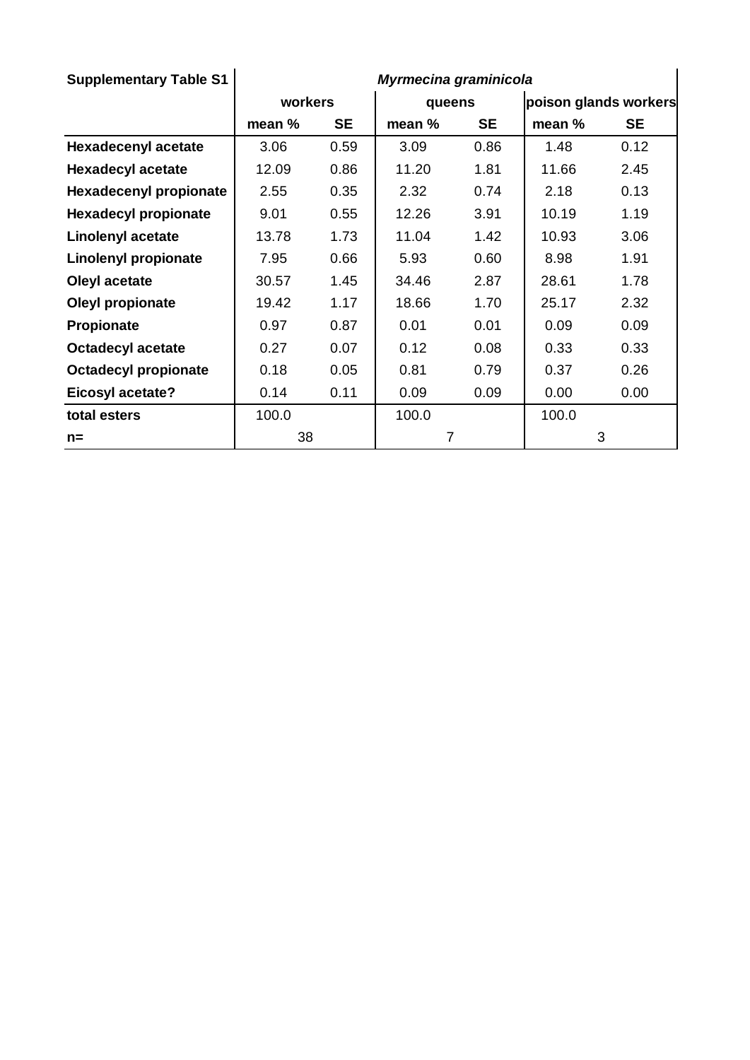| <b>Supplementary Table S1</b> | Myrmecina graminicola |           |                |           |                       |           |  |
|-------------------------------|-----------------------|-----------|----------------|-----------|-----------------------|-----------|--|
|                               | workers               |           | queens         |           | poison glands workers |           |  |
|                               | mean %                | <b>SE</b> | mean %         | <b>SE</b> | mean %                | <b>SE</b> |  |
| <b>Hexadecenyl acetate</b>    | 3.06                  | 0.59      | 3.09           | 0.86      | 1.48                  | 0.12      |  |
| <b>Hexadecyl acetate</b>      | 12.09                 | 0.86      | 11.20          | 1.81      | 11.66                 | 2.45      |  |
| <b>Hexadecenyl propionate</b> | 2.55                  | 0.35      | 2.32           | 0.74      | 2.18                  | 0.13      |  |
| <b>Hexadecyl propionate</b>   | 9.01                  | 0.55      | 12.26          | 3.91      | 10.19                 | 1.19      |  |
| <b>Linolenyl acetate</b>      | 13.78                 | 1.73      | 11.04          | 1.42      | 10.93                 | 3.06      |  |
| Linolenyl propionate          | 7.95                  | 0.66      | 5.93           | 0.60      | 8.98                  | 1.91      |  |
| Oleyl acetate                 | 30.57                 | 1.45      | 34.46          | 2.87      | 28.61                 | 1.78      |  |
| Oleyl propionate              | 19.42                 | 1.17      | 18.66          | 1.70      | 25.17                 | 2.32      |  |
| Propionate                    | 0.97                  | 0.87      | 0.01           | 0.01      | 0.09                  | 0.09      |  |
| <b>Octadecyl acetate</b>      | 0.27                  | 0.07      | 0.12           | 0.08      | 0.33                  | 0.33      |  |
| <b>Octadecyl propionate</b>   | 0.18                  | 0.05      | 0.81           | 0.79      | 0.37                  | 0.26      |  |
| <b>Eicosyl acetate?</b>       | 0.14                  | 0.11      | 0.09           | 0.09      | 0.00                  | 0.00      |  |
| total esters                  | 100.0                 |           | 100.0          |           | 100.0                 |           |  |
| $n =$                         | 38                    |           | $\overline{7}$ |           | 3                     |           |  |